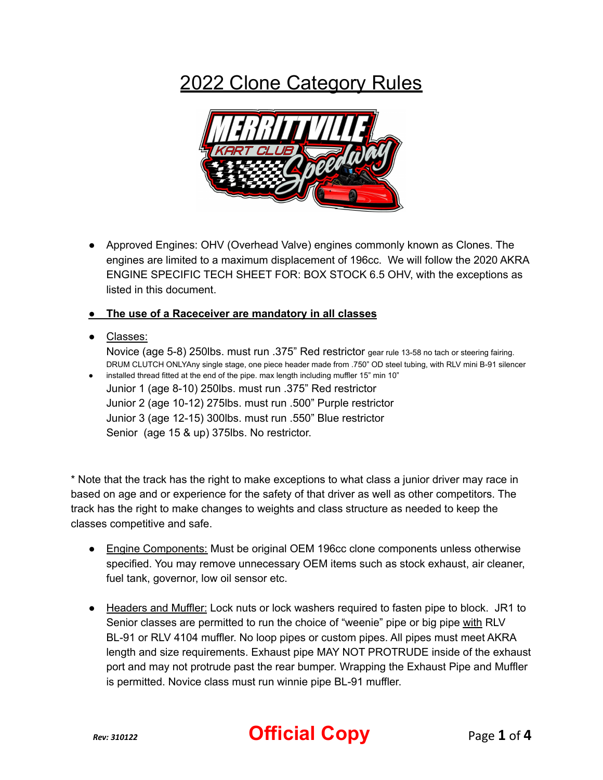## 2022 Clone Category Rules



● Approved Engines: OHV (Overhead Valve) engines commonly known as Clones. The engines are limited to a maximum displacement of 196cc. We will follow the 2020 AKRA ENGINE SPECIFIC TECH SHEET FOR: BOX STOCK 6.5 OHV, with the exceptions as listed in this document.

## **● The use of a Raceceiver are mandatory in all classes**

● Classes:

Novice (age 5-8) 250lbs. must run .375" Red restrictor gear rule 13-58 no tach or steering fairing. DRUM CLUTCH ONLYAny single stage, one piece header made from .750" OD steel tubing, with RLV mini B-91 silencer ● installed thread fitted at the end of the pipe. max length including muffler 15" min 10"

Junior 1 (age 8-10) 250lbs. must run .375" Red restrictor Junior 2 (age 10-12) 275lbs. must run .500" Purple restrictor Junior 3 (age 12-15) 300lbs. must run .550" Blue restrictor Senior (age 15 & up) 375lbs. No restrictor.

\* Note that the track has the right to make exceptions to what class a junior driver may race in based on age and or experience for the safety of that driver as well as other competitors. The track has the right to make changes to weights and class structure as needed to keep the classes competitive and safe.

- Engine Components: Must be original OEM 196cc clone components unless otherwise specified. You may remove unnecessary OEM items such as stock exhaust, air cleaner, fuel tank, governor, low oil sensor etc.
- Headers and Muffler: Lock nuts or lock washers required to fasten pipe to block. JR1 to Senior classes are permitted to run the choice of "weenie" pipe or big pipe with RLV BL-91 or RLV 4104 muffler. No loop pipes or custom pipes. All pipes must meet AKRA length and size requirements. Exhaust pipe MAY NOT PROTRUDE inside of the exhaust port and may not protrude past the rear bumper. Wrapping the Exhaust Pipe and Muffler is permitted. Novice class must run winnie pipe BL-91 muffler.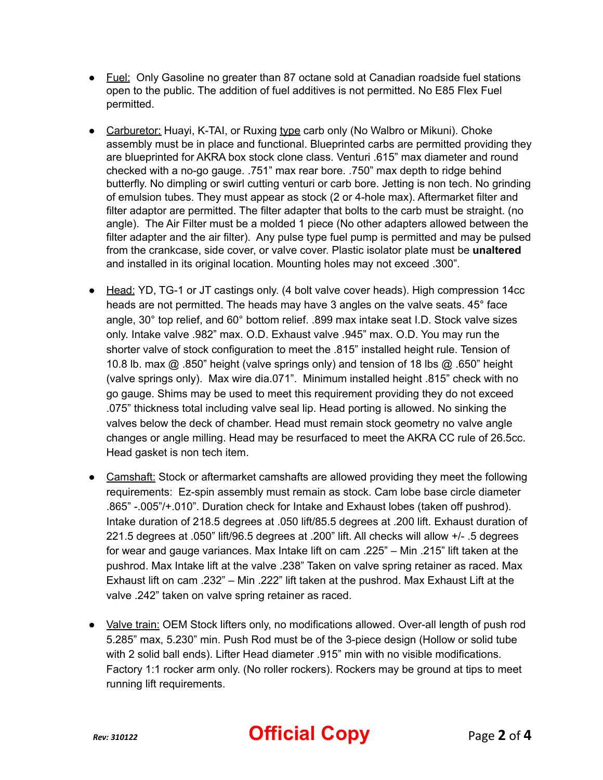- Fuel: Only Gasoline no greater than 87 octane sold at Canadian roadside fuel stations open to the public. The addition of fuel additives is not permitted. No E85 Flex Fuel permitted.
- Carburetor: Huayi, K-TAI, or Ruxing type carb only (No Walbro or Mikuni). Choke assembly must be in place and functional. Blueprinted carbs are permitted providing they are blueprinted for AKRA box stock clone class. Venturi .615" max diameter and round checked with a no-go gauge. .751" max rear bore. .750" max depth to ridge behind butterfly. No dimpling or swirl cutting venturi or carb bore. Jetting is non tech. No grinding of emulsion tubes. They must appear as stock (2 or 4-hole max). Aftermarket filter and filter adaptor are permitted. The filter adapter that bolts to the carb must be straight. (no angle). The Air Filter must be a molded 1 piece (No other adapters allowed between the filter adapter and the air filter). Any pulse type fuel pump is permitted and may be pulsed from the crankcase, side cover, or valve cover. Plastic isolator plate must be **unaltered** and installed in its original location. Mounting holes may not exceed .300".
- Head: YD, TG-1 or JT castings only. (4 bolt valve cover heads). High compression 14cc heads are not permitted. The heads may have 3 angles on the valve seats. 45° face angle, 30° top relief, and 60° bottom relief. .899 max intake seat I.D. Stock valve sizes only. Intake valve .982" max. O.D. Exhaust valve .945" max. O.D. You may run the shorter valve of stock configuration to meet the .815" installed height rule. Tension of 10.8 lb. max @ .850" height (valve springs only) and tension of 18 lbs @ .650" height (valve springs only). Max wire dia.071". Minimum installed height .815" check with no go gauge. Shims may be used to meet this requirement providing they do not exceed .075" thickness total including valve seal lip. Head porting is allowed. No sinking the valves below the deck of chamber. Head must remain stock geometry no valve angle changes or angle milling. Head may be resurfaced to meet the AKRA CC rule of 26.5cc. Head gasket is non tech item.
- Camshaft: Stock or aftermarket camshafts are allowed providing they meet the following requirements: Ez-spin assembly must remain as stock. Cam lobe base circle diameter .865" -.005"/+.010". Duration check for Intake and Exhaust lobes (taken off pushrod). Intake duration of 218.5 degrees at .050 lift/85.5 degrees at .200 lift. Exhaust duration of 221.5 degrees at .050" lift/96.5 degrees at .200" lift. All checks will allow +/- .5 degrees for wear and gauge variances. Max Intake lift on cam .225" – Min .215" lift taken at the pushrod. Max Intake lift at the valve .238" Taken on valve spring retainer as raced. Max Exhaust lift on cam .232" – Min .222" lift taken at the pushrod. Max Exhaust Lift at the valve .242" taken on valve spring retainer as raced.
- Valve train: OEM Stock lifters only, no modifications allowed. Over-all length of push rod 5.285" max, 5.230" min. Push Rod must be of the 3-piece design (Hollow or solid tube with 2 solid ball ends). Lifter Head diameter .915" min with no visible modifications. Factory 1:1 rocker arm only. (No roller rockers). Rockers may be ground at tips to meet running lift requirements.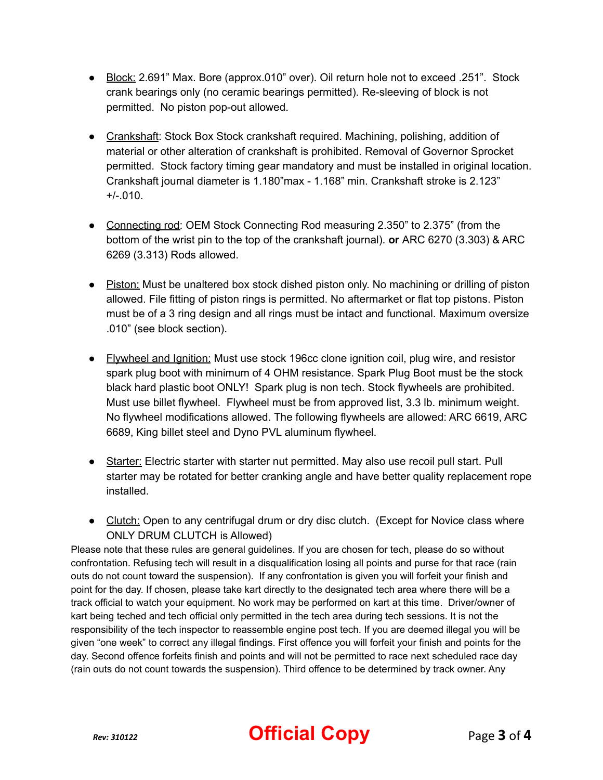- Block: 2.691" Max. Bore (approx.010" over). Oil return hole not to exceed .251". Stock crank bearings only (no ceramic bearings permitted). Re-sleeving of block is not permitted. No piston pop-out allowed.
- Crankshaft: Stock Box Stock crankshaft required. Machining, polishing, addition of material or other alteration of crankshaft is prohibited. Removal of Governor Sprocket permitted. Stock factory timing gear mandatory and must be installed in original location. Crankshaft journal diameter is 1.180"max - 1.168" min. Crankshaft stroke is 2.123"  $+/-.010.$
- Connecting rod: OEM Stock Connecting Rod measuring 2.350" to 2.375" (from the bottom of the wrist pin to the top of the crankshaft journal). **or** ARC 6270 (3.303) & ARC 6269 (3.313) Rods allowed.
- Piston: Must be unaltered box stock dished piston only. No machining or drilling of piston allowed. File fitting of piston rings is permitted. No aftermarket or flat top pistons. Piston must be of a 3 ring design and all rings must be intact and functional. Maximum oversize .010" (see block section).
- Flywheel and Ignition: Must use stock 196cc clone ignition coil, plug wire, and resistor spark plug boot with minimum of 4 OHM resistance. Spark Plug Boot must be the stock black hard plastic boot ONLY! Spark plug is non tech. Stock flywheels are prohibited. Must use billet flywheel. Flywheel must be from approved list, 3.3 lb. minimum weight. No flywheel modifications allowed. The following flywheels are allowed: ARC 6619, ARC 6689, King billet steel and Dyno PVL aluminum flywheel.
- Starter: Electric starter with starter nut permitted. May also use recoil pull start. Pull starter may be rotated for better cranking angle and have better quality replacement rope installed.
- **●** Clutch: Open to any centrifugal drum or dry disc clutch. (Except for Novice class where ONLY DRUM CLUTCH is Allowed)

Please note that these rules are general guidelines. If you are chosen for tech, please do so without confrontation. Refusing tech will result in a disqualification losing all points and purse for that race (rain outs do not count toward the suspension). If any confrontation is given you will forfeit your finish and point for the day. If chosen, please take kart directly to the designated tech area where there will be a track official to watch your equipment. No work may be performed on kart at this time. Driver/owner of kart being teched and tech official only permitted in the tech area during tech sessions. It is not the responsibility of the tech inspector to reassemble engine post tech. If you are deemed illegal you will be given "one week" to correct any illegal findings. First offence you will forfeit your finish and points for the day. Second offence forfeits finish and points and will not be permitted to race next scheduled race day (rain outs do not count towards the suspension). Third offence to be determined by track owner. Any